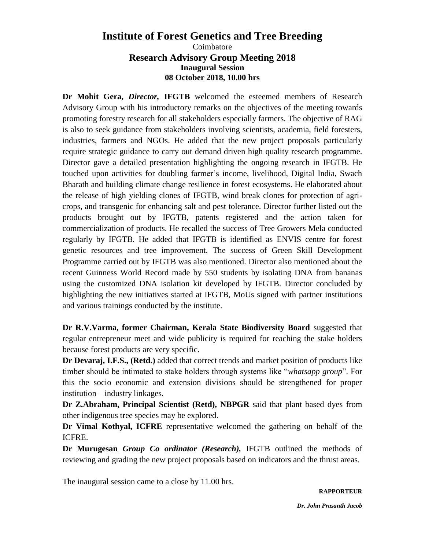## **Institute of Forest Genetics and Tree Breeding** Coimbatore **Research Advisory Group Meeting 2018 Inaugural Session 08 October 2018, 10.00 hrs**

**Dr Mohit Gera,** *Director,* **IFGTB** welcomed the esteemed members of Research Advisory Group with his introductory remarks on the objectives of the meeting towards promoting forestry research for all stakeholders especially farmers. The objective of RAG is also to seek guidance from stakeholders involving scientists, academia, field foresters, industries, farmers and NGOs. He added that the new project proposals particularly require strategic guidance to carry out demand driven high quality research programme. Director gave a detailed presentation highlighting the ongoing research in IFGTB. He touched upon activities for doubling farmer's income, livelihood, Digital India, Swach Bharath and building climate change resilience in forest ecosystems. He elaborated about the release of high yielding clones of IFGTB, wind break clones for protection of agricrops, and transgenic for enhancing salt and pest tolerance. Director further listed out the products brought out by IFGTB, patents registered and the action taken for commercialization of products. He recalled the success of Tree Growers Mela conducted regularly by IFGTB. He added that IFGTB is identified as ENVIS centre for forest genetic resources and tree improvement. The success of Green Skill Development Programme carried out by IFGTB was also mentioned. Director also mentioned about the recent Guinness World Record made by 550 students by isolating DNA from bananas using the customized DNA isolation kit developed by IFGTB. Director concluded by highlighting the new initiatives started at IFGTB, MoUs signed with partner institutions and various trainings conducted by the institute.

**Dr R.V.Varma, former Chairman, Kerala State Biodiversity Board** suggested that regular entrepreneur meet and wide publicity is required for reaching the stake holders because forest products are very specific.

**Dr Devaraj, I.F.S., (Retd.)** added that correct trends and market position of products like timber should be intimated to stake holders through systems like "*whatsapp group*". For this the socio economic and extension divisions should be strengthened for proper institution – industry linkages.

**Dr Z.Abraham, Principal Scientist (Retd), NBPGR** said that plant based dyes from other indigenous tree species may be explored.

**Dr Vimal Kothyal, ICFRE** representative welcomed the gathering on behalf of the ICFRE.

**Dr Murugesan** *Group Co ordinator (Research),* IFGTB outlined the methods of reviewing and grading the new project proposals based on indicators and the thrust areas.

The inaugural session came to a close by 11.00 hrs.